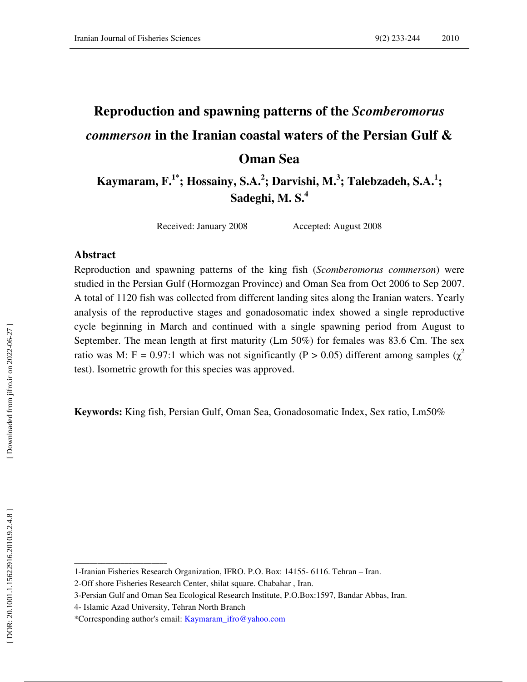# **Reproduction and spawning patterns of the** *Scomberomorus commerson* **in the Iranian coastal waters of the Persian Gulf & Oman Sea**

**Kaymaram, F.1\*; Hossainy, S.A. 2 ; Darvishi, M. 3 ; Talebzadeh, S.A. 1 ; Sadeghi, M. S.<sup>4</sup>**

Received: January 2008 Accepted: August 2008

#### **Abstract**

Reproduction and spawning patterns of the king fish (*Scomberomorus commerson*) were studied in the Persian Gulf (Hormozgan Province) and Oman Sea from Oct 2006 to Sep 2007. A total of 1120 fish was collected from different landing sites along the Iranian waters. Yearly analysis of the reproductive stages and gonadosomatic index showed a single reproductive cycle beginning in March and continued with a single spawning period from August to September. The mean length at first maturity (Lm 50%) for females was 83.6 Cm. The sex ratio was M: F = 0.97:1 which was not significantly (P > 0.05) different among samples ( $\chi^2$ test). Isometric growth for this species was approved.

**Keywords:** King fish, Persian Gulf, Oman Sea, Gonadosomatic Index, Sex ratio, Lm50%

**\_\_\_\_\_\_\_\_\_\_\_\_\_\_\_\_\_\_\_\_\_\_\_\_** 

<sup>1-</sup>Iranian Fisheries Research Organization, IFRO. P.O. Box: 14155- 6116. Tehran – Iran.

<sup>2-</sup>Off shore Fisheries Research Center, shilat square. Chabahar , Iran.

<sup>3-</sup>Persian Gulf and Oman Sea Ecological Research Institute, P.O.Box:1597, Bandar Abbas, Iran.

<sup>4-</sup> Islamic Azad University, Tehran North Branch

<sup>\*</sup>Corresponding author's email: Kaymaram\_ifro@yahoo.com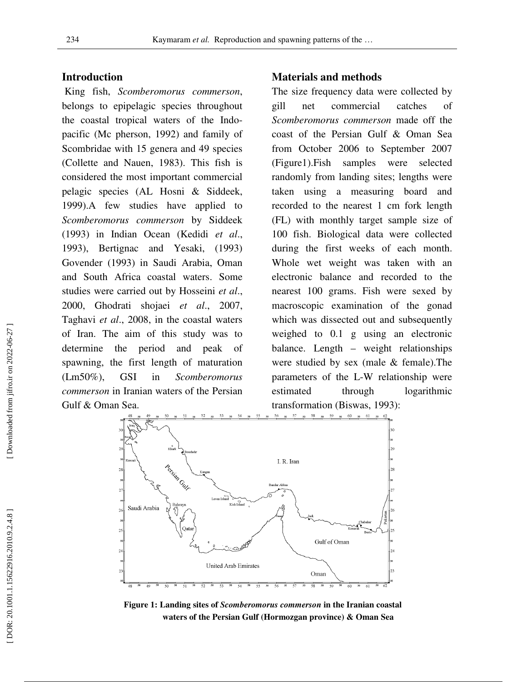#### **Introduction**

 King fish, *Scomberomorus commerson* , belongs to epipelagic species throughout the coastal tropical waters of the Indo Indopacific (Mc pherson, 1992) and family of Scombridae with 15 genera and 49 species (Collette and Nauen, 1983). This fish is considered the most important commercial pelagic species (AL Hosni & Siddeek, 1999).A few studies have applied to *Scomberomorus commerson* by Siddeek (1993) in Indian Ocean (Kedidi *et al*., 1993), Bertignac and Yesaki, (1993) Govender (1993) in Saudi Arabia, Oman and South Africa coastal waters. Some and South Africa coastal waters. Some studies were carried out by Hosseini et al., 2000, Ghodrati shojaei *et al*., 2007, Taghavi *et al*., 2008, in the coastal waters of Iran. The aim of this study was to determine the period and peak of spawning, the first length of maturation (Lm50%), GSI in *Scomberomorus commerson* in Iranian waters of the Persian Gulf & Oman Sea. (Mc pherson, 1992) and family of idae with 15 genera and 49 species<br>e and Nauen, 1983). This fish is<br>red the most important commercial<br>species (AL Hosni & Siddeek,<br>tew studies have applied to e coastal waters<br>study was to<br>and peak of **Materials and methods**<br>
Somberomorus commerson, The size frequency data w<br>
sipelagic species throughout gill net commercial<br>
erson, 1992) and family of coast of the Persian Gul:<br>
th 15 genera and 49 species from October 2

The size frequency data were collected by gill net commercial catches of *Scomberomorus commerson* made off the coast of the Persian Gulf & Oman Sea from October 2006 to September 2007 (Figure1).Fish samples were selected randomly from landing sites; lengths were taken using a measuring board and recorded to the nearest 1 cm fork length (FL) with monthly target sample size of 100 fish. Biological data were collected during the first weeks of each month. Whole wet weight was taken with an electronic balance and recorded to the nearest 100 grams. Fish were sexed by macroscopic examination of the gonad which was dissected out and subsequently weighed to 0.1 g using an electronic balance. Length – weight relationships were studied by sex (male & female).The parameters of the L-W relationship were estimated through logarithmic transformation (Biswas, 1993): The size frequency data were collected by<br>gill net commersion rade off the<br>Coast of the Persian Gulf & Oman Sea<br>from October 2006 to September 2007<br>(Figure1).Fish samples were selected<br>randomly from landing sites; lengths



Figure 1: Landing sites of *Scomberomorus commerson* in the Iranian coastal waters of the Persian Gulf (Hormozgan province) & Oman Sea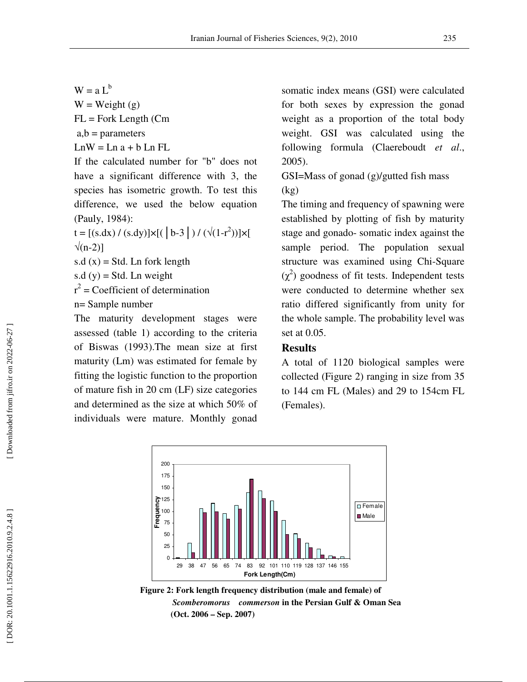$W = a L^b$  $W = Weight(g)$  $FL = Fork Length (Cm)$  $a,b =$  parameters  $LnW = Ln a + b Ln FL$ 

If the calculated number for "b" does not have a significant difference with 3, the species has isometric growth. To test this difference, we used the below equation (Pauly, 1984):

t = [(s.dx) / (s.dy)]×[( | b-3 | ) / ( $\sqrt{(1-r^2)}$ ]|×[  $\sqrt{(n-2)}$ ]

s.d  $(x)$  = Std. Ln fork length

s.d (y) = Std. Ln weight<br>  $r^2$  = Coefficient of determination

n= Sample number

The maturity development stages were assessed (table 1) according to the criteria of Biswas (1993).The mean size at first maturity (Lm) was estimated for female by fitting the logistic function to the proportion of mature fish in 20 cm (LF) size categories and determined as the size at which 50% of individuals were mature. Monthly gonad

somatic index means (GSI) were calculated for both sexes by expression the gonad weight as a proportion of the total body weight. GSI was calculated using the following formula (Claereboudt *et al*., 2005).

GSI=Mass of gonad (g)/gutted fish mass (kg)

The timing and frequency of spawning were established by plotting of fish by maturity stage and gonado- somatic index against the sample period. The population sexual structure was examined using Chi-Square  $(\chi^2)$  goodness of fit tests. Independent tests were conducted to determine whether sex ratio differed significantly from unity for the whole sample. The probability level was set at 0.05.

#### **Results**

A total of 1120 biological samples were collected (Figure 2) ranging in size from 35 to 144 cm FL (Males) and 29 to 154cm FL (Females).



**Figure 2: Fork length frequency distribution (male and female) of**  *Scomberomorus commerson* **in the Persian Gulf & Oman Sea**   $\frac{6}{29}$   $\frac{1}{38}$   $\frac{47}{47}$   $\frac{66}{56}$   $\frac{65}{74}$   $\frac{83}{160}$ <br>Figure 2: Fork length frequency<br>*Scomberomorus comn*<br>(Oct. 2006 – Sep. 2007)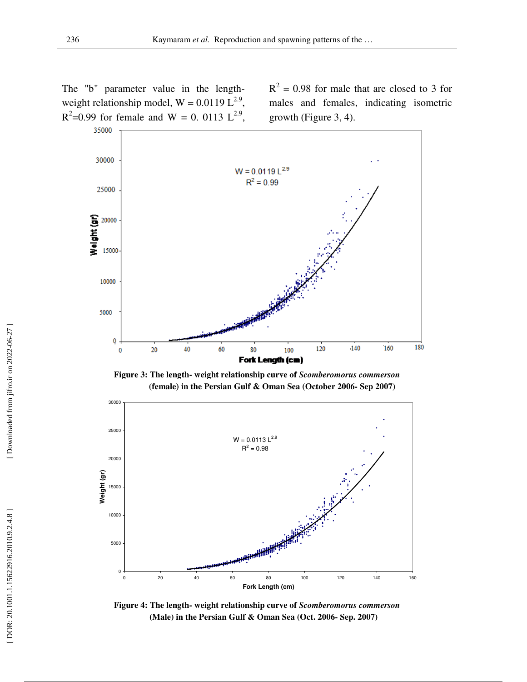The "b" parameter value in the lengthweight relationship model,  $W = 0.0119 L^{2.9}$ ,  $R^2$ =0.99 for female and W = 0. 0113 L<sup>2.9</sup>,

 $R^2 = 0.98$  for male that are closed to 3 for males and females, indicating isometric growth (Figure 3, 4).



**Figure 3: The length- weight relationship curve of** *Scomberomorus commerson*  **(female) in the Persian Gulf & Oman Sea (October 2006- Sep 2007)** 



**Figure 4: The length- weight relationship curve of** *Scomberomorus commerson*  **(Male) in the Persian Gulf & Oman Sea (Oct. 2006- Sep. 2007)**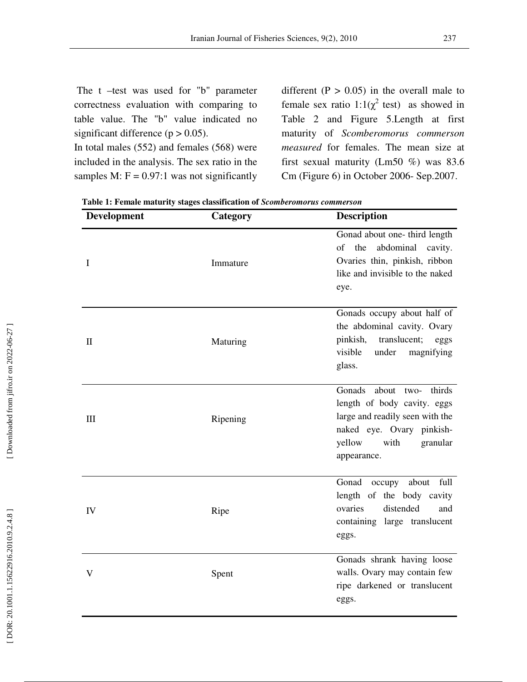The t –test was used for "b" parameter correctness evaluation with comparing to table value. The "b" value indicated no significant difference ( $p > 0.05$ ).

In total males (552) and females (568) were included in the analysis. The sex ratio in the samples M:  $F = 0.97:1$  was not significantly

different  $(P > 0.05)$  in the overall male to female sex ratio  $1:1(\chi^2 \text{ test})$  as showed in Table 2 and Figure 5.Length at first maturity of *Scomberomorus commerson measured* for females. The mean size at first sexual maturity (Lm50 %) was 83.6 Cm (Figure 6) in October 2006- Sep.2007.

| Development  | Category | <b>Description</b>                                                                                                                                                         |  |
|--------------|----------|----------------------------------------------------------------------------------------------------------------------------------------------------------------------------|--|
| I            | Immature | Gonad about one- third length<br>the<br>abdominal<br>of<br>cavity.<br>Ovaries thin, pinkish, ribbon<br>like and invisible to the naked<br>eye.                             |  |
| $\mathbf{I}$ | Maturing | Gonads occupy about half of<br>the abdominal cavity. Ovary<br>translucent;<br>pinkish,<br>eggs<br>visible<br>under<br>magnifying<br>glass.                                 |  |
| Ш            | Ripening | Gonads<br>about two-<br>thirds<br>length of body cavity. eggs<br>large and readily seen with the<br>naked eye. Ovary pinkish-<br>yellow<br>with<br>granular<br>appearance. |  |
| IV           | Ripe     | about<br>full<br>Gonad<br>occupy<br>length of the body cavity<br>ovaries<br>distended<br>and<br>containing large translucent<br>eggs.                                      |  |
| $\mathbf{V}$ | Spent    | Gonads shrank having loose<br>walls. Ovary may contain few<br>ripe darkened or translucent<br>eggs.                                                                        |  |

**Table 1: Female maturity stages classification of** *Scomberomorus commerson*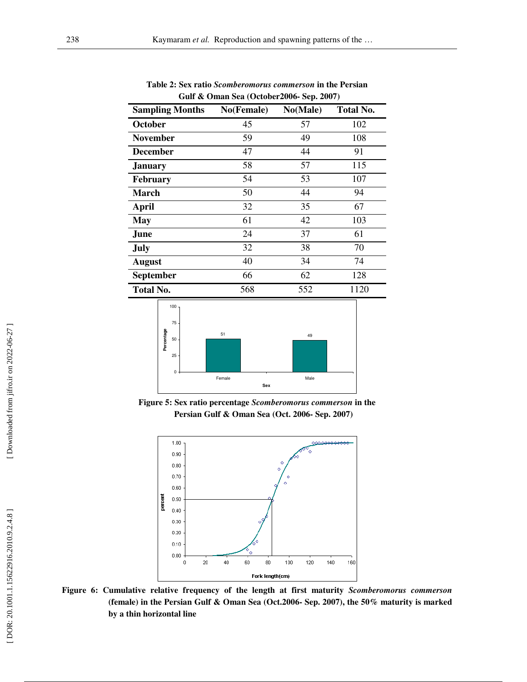| $\bullet$ cannot be $\bullet$ (cerebral code below $\bullet$ code) |            |          |                  |  |
|--------------------------------------------------------------------|------------|----------|------------------|--|
| <b>Sampling Months</b>                                             | No(Female) | No(Male) | <b>Total No.</b> |  |
| October                                                            | 45         | 57       | 102              |  |
| <b>November</b>                                                    | 59         | 49       | 108              |  |
| <b>December</b>                                                    | 47         | 44       | 91               |  |
| <b>January</b>                                                     | 58         | 57       | 115              |  |
| <b>February</b>                                                    | 54         | 53       | 107              |  |
| <b>March</b>                                                       | 50         | 44       | 94               |  |
| April                                                              | 32         | 35       | 67               |  |
| <b>May</b>                                                         | 61         | 42       | 103              |  |
| June                                                               | 24         | 37       | 61               |  |
| <b>July</b>                                                        | 32         | 38       | 70               |  |
| <b>August</b>                                                      | 40         | 34       | 74               |  |
| <b>September</b>                                                   | 66         | 62       | 128              |  |
| <b>Total No.</b>                                                   | 568        | 552      | 1120             |  |

**Table 2: Sex ratio** *Scomberomorus commerson* **in the Persian Gulf & Oman Sea (October2006- Sep. 2007)** 



**Figure 5: Sex ratio percentage** *Scomberomorus commerson* **in the Persian Gulf & Oman Sea (Oct. 2006- Sep. 2007)** 



**Figure 6: Cumulative relative frequency of the length at first maturity** *Scomberomorus commerson* **(female) in the Persian Gulf & Oman Sea (Oct.2006- Sep. 2007), the 50% maturity is marked by a thin horizontal line**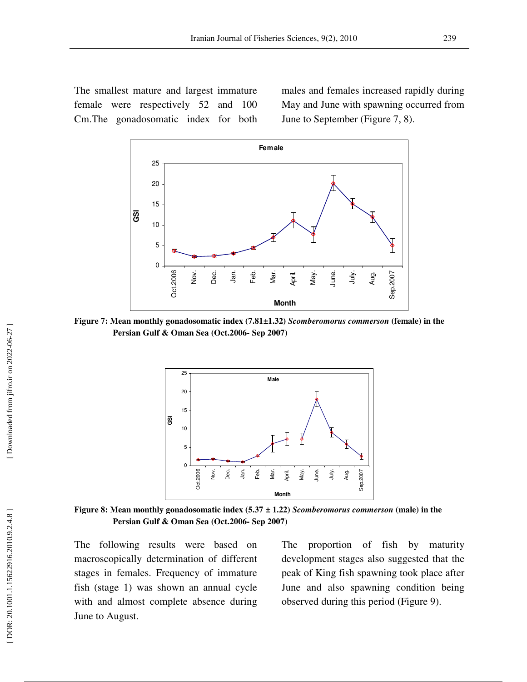The smallest mature and largest immature female were respectively 52 and 100 Cm.The gonadosomatic index for both

males and females increased rapidly during May and June with spawning occurred from June to September (Figure 7, 8).



**Figure 7: Mean monthly gonadosomatic index (7.81±1.32)** *Scomberomorus commerson* **(female) in the Persian Gulf & Oman Sea (Oct.2006- Sep 2007)** 



**Figure 8: Mean monthly gonadosomatic index (5.37 ± 1.22)** *Scomberomorus commerson* **(male) in the Persian Gulf & Oman Sea (Oct.2006- Sep 2007)** 

The following results were based on macroscopically determination of different stages in females. Frequency of immature fish (stage 1) was shown an annual cycle with and almost complete absence during June to August.

The proportion of fish by maturity development stages also suggested that the peak of King fish spawning took place after June and also spawning condition being observed during this period (Figure 9).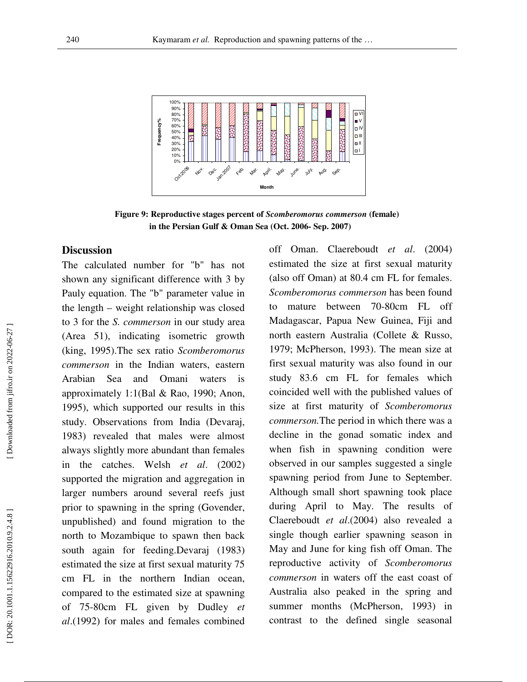

**Figure 9: Reproductive stages percent of** *Scomberomorus commerson* **(female) in the Persian Gulf & Oman Sea (Oct. 2006- Sep. 2007)** 

#### **Discussion**

The calculated number for "b" has not shown any significant difference with 3 by Pauly equation. The "b" parameter value in the length – weight relationship was closed to 3 for the *S. commerson* in our study area (Area 51), indicating isometric growth (king, 1995).The sex ratio *Scomberomorus commerson* in the Indian waters, eastern Arabian Sea and Omani waters is approximately 1:1(Bal & Rao, 1990; Anon, 1995), which supported our results in this study. Observations from India (Devaraj, 1983) revealed that males were almost always slightly more abundant than females in the catches. Welsh *et al*. (2002) supported the migration and aggregation in larger numbers around several reefs just prior to spawning in the spring (Govender, unpublished) and found migration to the north to Mozambique to spawn then back south again for feeding.Devaraj (1983) estimated the size at first sexual maturity 75 cm FL in the northern Indian ocean, compared to the estimated size at spawning of 75-80cm FL given by Dudley *et al*.(1992) for males and females combined off Oman. Claereboudt *et al*. (2004) estimated the size at first sexual maturity (also off Oman) at 80.4 cm FL for females. *Scomberomorus commerson* has been found to mature between 70-80cm FL off Madagascar, Papua New Guinea, Fiji and north eastern Australia (Collete & Russo, 1979; McPherson, 1993). The mean size at first sexual maturity was also found in our study 83.6 cm FL for females which coincided well with the published values of size at first maturity of *Scomberomorus commerson.*The period in which there was a decline in the gonad somatic index and when fish in spawning condition were observed in our samples suggested a single spawning period from June to September. Although small short spawning took place during April to May. The results of Claereboudt *et al*.(2004) also revealed a single though earlier spawning season in May and June for king fish off Oman. The reproductive activity of *Scomberomorus commerson* in waters off the east coast of Australia also peaked in the spring and summer months (McPherson, 1993) in contrast to the defined single seasonal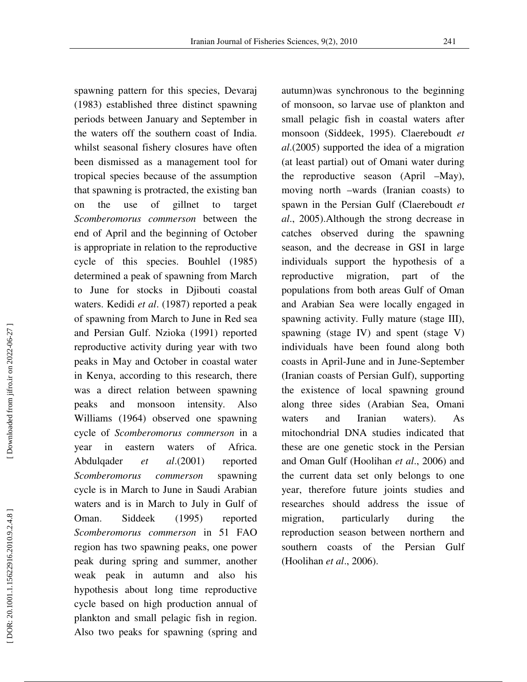spawning pattern for this species, Devaraj (1983) established three distinct spawning periods between January and September in the waters off the southern coast of India. whilst seasonal fishery closures have often been dismissed as a management tool for tropical species because of the assumption that spawning is protracted, the existing ban on the use of gillnet to target *Scomberomorus commerson* between the end of April and the beginning of October is appropriate in relation to the reproductive cycle of this species. Bouhlel (1985) determined a peak of spawning from March to June for stocks in Djibouti coastal waters. Kedidi *et al*. (1987) reported a peak of spawning from March to June in Red sea and Persian Gulf. Nzioka (1991) reported reproductive activity during year with two peaks in May and October in coastal water in Kenya, according to this research, there was a direct relation between spawning peaks and monsoon intensity. Also Williams (1964) observed one spawning cycle of *Scomberomorus commerson* in a year in eastern waters of Africa. Abdulqader *et al*.(2001) reported *Scomberomorus commerson* spawning cycle is in March to June in Saudi Arabian waters and is in March to July in Gulf of Oman. Siddeek (1995) reported *Scomberomorus commerson* in 51 FAO region has two spawning peaks, one power peak during spring and summer, another weak peak in autumn and also his hypothesis about long time reproductive cycle based on high production annual of plankton and small pelagic fish in region. Also two peaks for spawning (spring and

autumn)was synchronous to the beginning of monsoon, so larvae use of plankton and small pelagic fish in coastal waters after monsoon (Siddeek, 1995). Claereboudt *et al*.(2005) supported the idea of a migration (at least partial) out of Omani water during the reproductive season (April –May), moving north –wards (Iranian coasts) to spawn in the Persian Gulf (Claereboudt *et al*., 2005).Although the strong decrease in catches observed during the spawning season, and the decrease in GSI in large individuals support the hypothesis of a reproductive migration, part of the populations from both areas Gulf of Oman and Arabian Sea were locally engaged in spawning activity. Fully mature (stage III), spawning (stage IV) and spent (stage V) individuals have been found along both coasts in April-June and in June-September (Iranian coasts of Persian Gulf), supporting the existence of local spawning ground along three sides (Arabian Sea, Omani waters and Iranian waters). As mitochondrial DNA studies indicated that these are one genetic stock in the Persian and Oman Gulf (Hoolihan *et al*., 2006) and the current data set only belongs to one year, therefore future joints studies and researches should address the issue of migration, particularly during the reproduction season between northern and southern coasts of the Persian Gulf (Hoolihan *et al*., 2006).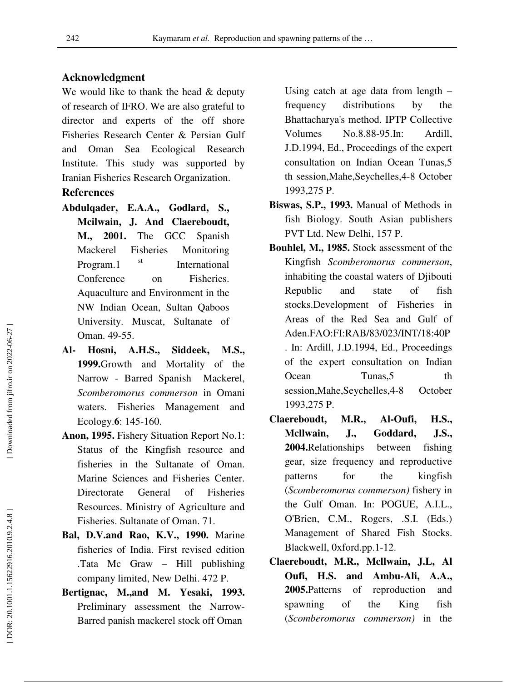### **Acknowledgment**

We would like to thank the head  $&$  deputy of research of IFRO. We are also grateful to director and experts of the off shore Fisheries Research Center & Persian Gulf and Oman Sea Ecological Research Institute. This study was supported by Iranian Fisheries Research Organization.

## **References**

- **Abdulqader, E.A.A., Godlard, S., Mcilwain, J. And Claereboudt, M., 2001.** The GCC Spanish Mackerel Fisheries Monitoring Program.1 st International Conference on Fisheries. Aquaculture and Environment in the NW Indian Ocean, Sultan Qaboos University. Muscat, Sultanate of Oman. 49-55.
- **Al- Hosni, A.H.S., Siddeek, M.S., 1999.**Growth and Mortality of the Narrow - Barred Spanish Mackerel, *Scomberomorus commerson* in Omani waters. Fisheries Management and Ecology. **6**: 145-160.
- **Anon, 1995.** Fishery Situation Report No.1: Status of the Kingfish resource and fisheries in the Sultanate of Oman. Marine Sciences and Fisheries Center. Directorate General of Fisheries Resources. Ministry of Agriculture and Fisheries. Sultanate of Oman. 71.
- **Bal, D.V.and Rao, K.V., 1990.** Marine fisheries of India. First revised edition .Tata Mc Graw – Hill publishing company limited, New Delhi. 472 P.
- **Bertignac, M.,and M. Yesaki, 1993.** Preliminary assessment the Narrow-Barred panish mackerel stock off Oman

Using catch at age data from length – frequency distributions by the Bhattacharya's method. IPTP Collective Volumes No.8.88-95.In: Ardill, J.D.1994, Ed., Proceedings of the expert consultation on Indian Ocean Tunas,5 th session,Mahe,Seychelles,4-8 October 1993,275 P.

- **Biswas, S.P., 1993.** Manual of Methods in fish Biology. South Asian publishers PVT Ltd. New Delhi, 157 P.
- **Bouhlel, M., 1985.** Stock assessment of the Kingfish *Scomberomorus commerson*, inhabiting the coastal waters of Djibouti Republic and state of fish stocks.Development of Fisheries in Areas of the Red Sea and Gulf of Aden.FAO:FI:RAB/83/023/INT/18:40P . In: Ardill, J.D.1994, Ed., Proceedings of the expert consultation on Indian Ocean Tunas, 5 th session,Mahe,Seychelles,4-8 October 1993,275 P.
- **Claereboudt, M.R., Al-Oufi, H.S., Mcllwain, J., Goddard, J.S., 2004.**Relationships between fishing gear, size frequency and reproductive patterns for the kingfish (*Scomberomorus commerson)* fishery in the Gulf Oman. In: POGUE, A.I.L., O'Brien, C.M., Rogers, .S.I. (Eds.) Management of Shared Fish Stocks. Blackwell, 0xford.pp.1-12.
- **Claereboudt, M.R., Mcllwain, J.L, Al Oufi, H.S. and Ambu-Ali, A.A., 2005.**Patterns of reproduction and spawning of the King fish (*Scomberomorus commerson)* in the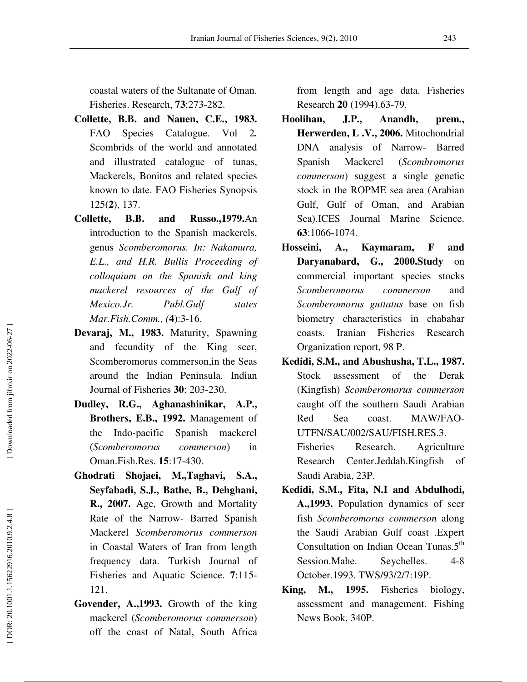coastal waters of the Sultanate of Oman. Fisheries. Research, **73**:273-282.

- **Collette, B.B. and Nauen, C.E., 1983.** FAO Species Catalogue. Vol 2*.*  Scombrids of the world and annotated and illustrated catalogue of tunas, Mackerels, Bonitos and related species known to date. FAO Fisheries Synopsis 125( **2**), 137.
- **Collette, B.B. and Russo.,1979.**An introduction to the Spanish mackerels, genus *Scomberomorus. In: Nakamura, E.L., and H.R. Bullis Proceeding of colloquium on the Spanish and king mackerel resources of the Gulf of Mexico.Jr. Publ.Gulf states Mar.Fish.Comm., (* **4**):3-16.
- **Devaraj, M., 1983.** Maturity, Spawning and fecundity of the King seer, Scomberomorus commerson,in the Seas around the Indian Peninsula. Indian Journal of Fisheries **30**: 203-230.
- **Dudley, R.G., Aghanashinikar, A.P., Brothers, E.B., 1992.** Management of the Indo-pacific Spanish mackerel (*Scomberomorus commerson*) in Oman.Fish.Res. **15**:17-430.
- **Ghodrati Shojaei, M.,Taghavi, S.A., Seyfabadi, S.J., Bathe, B., Dehghani, R., 2007.** Age, Growth and Mortality Rate of the Narrow- Barred Spanish Mackerel *Scomberomorus commerson*  in Coastal Waters of Iran from length frequency data. Turkish Journal of Fisheries and Aquatic Science. **7**:115- 121.
- **Govender, A.,1993.** Growth of the king mackerel (*Scomberomorus commerson*) off the coast of Natal, South Africa

from length and age data. Fisheries Research **20** (1994).63-79.

- **Hoolihan, J.P., Anandh, prem., Herwerden, L .V., 2006.** Mitochondrial DNA analysis of Narrow- Barred Spanish Mackerel (*Scombromorus commerson*) suggest a single genetic stock in the ROPME sea area (Arabian Gulf, Gulf of Oman, and Arabian Sea).ICES Journal Marine Science. **63**:1066-1074.
- **Hosseini, A., Kaymaram, F and Daryanabard, G., 2000.Study** on commercial important species stocks *Scomberomorus commerson* and *Scomberomorus guttatus* base on fish biometry characteristics in chabahar coasts. Iranian Fisheries Research Organization report, 98 P.
- **Kedidi, S.M., and Abushusha, T.L., 1987.** Stock assessment of the Derak (Kingfish) *Scomberomorus commerson* caught off the southern Saudi Arabian Red Sea coast. MAW/FAO-UTFN/SAU/002/SAU/FISH.RES.3. Fisheries Research. Agriculture

Research Center.Jeddah.Kingfish of Saudi Arabia, 23P.

- **Kedidi, S.M., Fita, N.I and Abdulhodi, A.,1993.** Population dynamics of seer fish *Scomberomorus commerson* along the Saudi Arabian Gulf coast .Expert Consultation on Indian Ocean Tunas.5<sup>th</sup> Session.Mahe. Seychelles. 4-8 October.1993. TWS/93/2/7:19P.
- **King, M., 1995.** Fisheries biology, assessment and management. Fishing News Book, 340P.